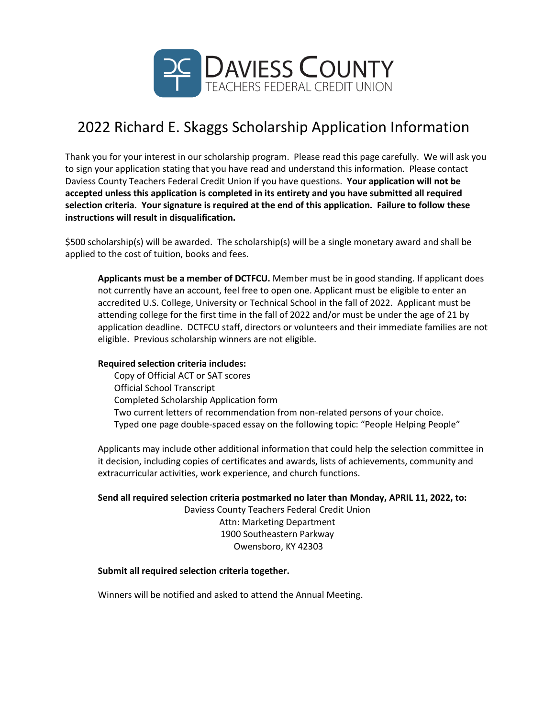

## 2022 Richard E. Skaggs Scholarship Application Information

Thank you for your interest in our scholarship program. Please read this page carefully. We will ask you to sign your application stating that you have read and understand this information. Please contact Daviess County Teachers Federal Credit Union if you have questions. **Your application will not be accepted unless this application is completed in its entirety and you have submitted all required selection criteria. Your signature is required at the end of this application. Failure to follow these instructions will result in disqualification.**

\$500 scholarship(s) will be awarded. The scholarship(s) will be a single monetary award and shall be applied to the cost of tuition, books and fees.

**Applicants must be a member of DCTFCU.** Member must be in good standing. If applicant does not currently have an account, feel free to open one. Applicant must be eligible to enter an accredited U.S. College, University or Technical School in the fall of 2022. Applicant must be attending college for the first time in the fall of 2022 and/or must be under the age of 21 by application deadline. DCTFCU staff, directors or volunteers and their immediate families are not eligible. Previous scholarship winners are not eligible.

## **Required selection criteria includes:**

Copy of Official ACT or SAT scores Official School Transcript Completed Scholarship Application form Two current letters of recommendation from non-related persons of your choice. Typed one page double-spaced essay on the following topic: "People Helping People"

Applicants may include other additional information that could help the selection committee in it decision, including copies of certificates and awards, lists of achievements, community and extracurricular activities, work experience, and church functions.

**Send all required selection criteria postmarked no later than Monday, APRIL 11, 2022, to:**

Daviess County Teachers Federal Credit Union Attn: Marketing Department 1900 Southeastern Parkway Owensboro, KY 42303

## **Submit all required selection criteria together.**

Winners will be notified and asked to attend the Annual Meeting.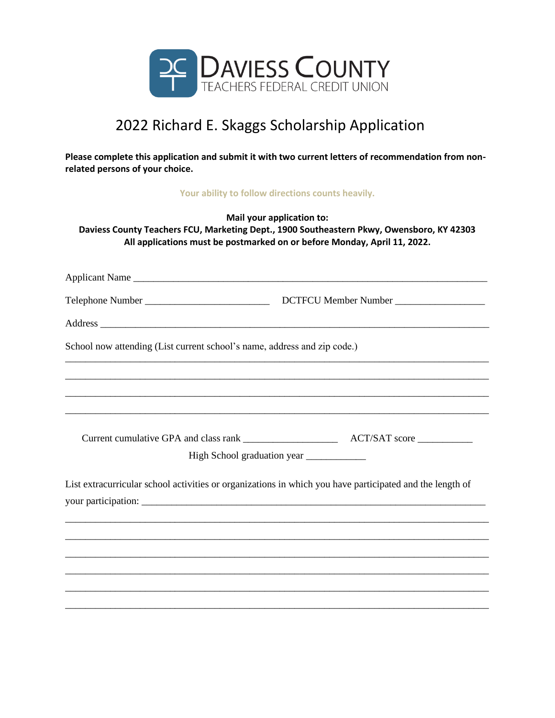

## 2022 Richard E. Skaggs Scholarship Application

**Please complete this application and submit it with two current letters of recommendation from nonrelated persons of your choice.**

**Your ability to follow directions counts heavily.**

**Mail your application to: Daviess County Teachers FCU, Marketing Dept., 1900 Southeastern Pkwy, Owensboro, KY 42303 All applications must be postmarked on or before Monday, April 11, 2022.**

| Applicant Name                                                                                           |                                           |
|----------------------------------------------------------------------------------------------------------|-------------------------------------------|
|                                                                                                          |                                           |
|                                                                                                          |                                           |
| School now attending (List current school's name, address and zip code.)                                 |                                           |
|                                                                                                          |                                           |
|                                                                                                          |                                           |
|                                                                                                          |                                           |
|                                                                                                          |                                           |
|                                                                                                          | High School graduation year _____________ |
| List extracurricular school activities or organizations in which you have participated and the length of |                                           |
|                                                                                                          |                                           |
|                                                                                                          |                                           |
|                                                                                                          |                                           |
|                                                                                                          |                                           |
|                                                                                                          |                                           |
|                                                                                                          |                                           |